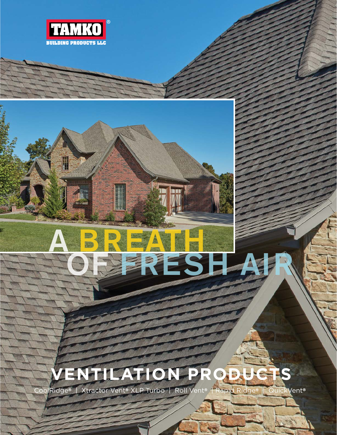

# **VENTILATION PRODUC**

OF FRESH AIR

A BREATH

CoolRidge® | Xtractor Vent® XLP Turbo | Roll Vent® | Rapid Ridge® | QuickVent®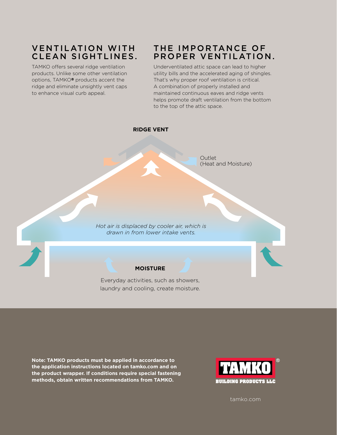# **VENTILATION WITH** CLEAN SIGHTLINES.

TAMKO offers several ridge ventilation products. Unlike some other ventilation options, TAMKO® products accent the ridge and eliminate unsightly vent caps to enhance visual curb appeal.

## THE IMPORTANCE OF PROPER VENTILATION.

Underventilated attic space can lead to higher utility bills and the accelerated aging of shingles. That's why proper roof ventilation is critical. A combination of properly installed and maintained continuous eaves and ridge vents helps promote draft ventilation from the bottom to the top of the attic space.



**Note: TAMKO products must be applied in accordance to the application instructions located on tamko.com and on the product wrapper. If conditions require special fastening methods, obtain written recommendations from TAMKO.**



tamko.com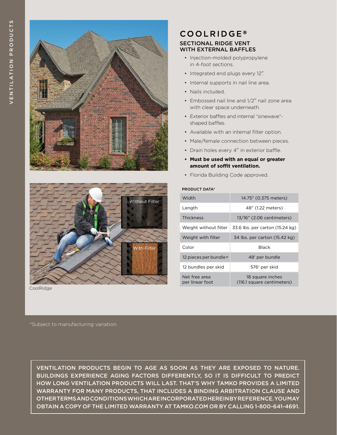



CoolRidge

## **COOLRIDGE®** SECTIONAL RIDGE VENT WITH EXTERNAL BAFFLES

- Injection-molded polypropylene in 4-foot sections.
- Integrated end plugs every 12".
- Internal supports in nail line area.
- Nails included.
- Embossed nail line and 1/2" nail zone area with clear space underneath.
- Exterior baffles and internal "sinewave" shaped baffles.
- Available with an internal filter option.
- Male/female connection between pieces.
- Drain holes every 4" in exterior baffle.
- **• Must be used with an equal or greater amount of soffit ventilation.**
- Florida Building Code approved.

#### PRODUCT DATA\*

| Width                            | 14.75" (0.375 meters)                          |
|----------------------------------|------------------------------------------------|
| Length                           | 48" (1.22 meters)                              |
| <b>Thickness</b>                 | 13/16" (2.06 centimeters)                      |
| Weight without filter            | 33.6 lbs. per carton (15.24 kg)                |
| Weight with filter               | 34 lbs. per carton (15.42 kg)                  |
| Color                            | <b>Black</b>                                   |
| 12 pieces per bundle=            | 48' per bundle                                 |
| 12 bundles per skid              | 576' per skid                                  |
| Net free area<br>per linear foot | 18 square inches<br>(116.1 square centimeters) |

\*Subject to manufacturing variation.

VENTILATION PRODUCTS BEGIN TO AGE AS SOON AS THEY ARE EXPOSED TO NATURE. BUILDINGS EXPERIENCE AGING FACTORS DIFFERENTLY, SO IT IS DIFFICULT TO PREDICT HOW LONG VENTILATION PRODUCTS WILL LAST. THAT'S WHY TAMKO PROVIDES A LIMITED WARRANTY FOR MANY PRODUCTS, THAT INCLUDES A BINDING ARBITRATION CLAUSE AND OTHER TERMS AND CONDITIONS WHICH ARE INCORPORATED HEREIN BY REFERENCE. YOU MAY OBTAIN A COPY OF THE LIMITED WARRANTY AT TAMKO.COM OR BY CALLING 1-800-641-4691.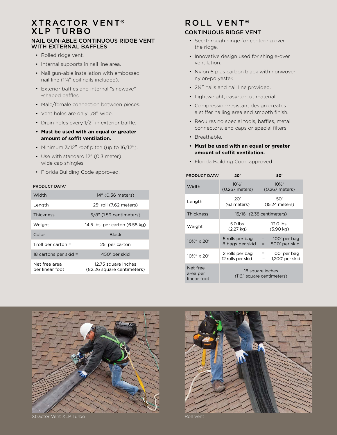## **XTRACTOR VENT® XLP TURBO**

#### NAIL GUN-ABLE CONTINUOUS RIDGE VENT WITH EXTERNAL BAFFLES

- Rolled ridge vent.
- Internal supports in nail line area.
- Nail gun-able installation with embossed nail line (1¾" coil nails included).
- Exterior baffles and internal "sinewave" -shaped baffles.
- Male/female connection between pieces.
- Vent holes are only 1/8" wide.
- Drain holes every 1/2" in exterior baffle.
- **• Must be used with an equal or greater amount of soffit ventilation.**
- Minimum 3/12" roof pitch (up to 16/12").
- Use with standard 12" (0.3 meter) wide cap shingles.
- Florida Building Code approved.

#### PRODUCT DATA\*

| Width                            | 14" (0.36 meters)                                 |  |
|----------------------------------|---------------------------------------------------|--|
| Length                           | 25' roll (7.62 meters)                            |  |
| <b>Thickness</b>                 | 5/8" (1.59 centimeters)                           |  |
| Weight                           | 14.5 lbs. per carton (6.58 kg)                    |  |
| Color                            | <b>Black</b>                                      |  |
| 1 roll per carton $=$            | 25' per carton                                    |  |
| 18 cartons per skid $=$          | 450' per skid                                     |  |
| Net free area<br>per linear foot | 12.75 square inches<br>(82.26 square centimeters) |  |

# ROLL VENT®

## CONTINUOUS RIDGE VENT

- See-through hinge for centering over the ridge.
- Innovative design used for shingle-over ventilation.
- Nylon 6 plus carbon black with nonwoven nylon-polyester.
- 2½" nails and nail line provided.
- Lightweight, easy-to-cut material.
- Compression-resistant design creates a stiffer nailing area and smooth finish.
- Requires no special tools, baffles, metal connectors, end caps or special filters.
- Breathable.
- **• Must be used with an equal or greater amount of soffit ventilation.**
- Florida Building Code approved.

| <b>PRODUCT DATA*</b>                 | 20'                                            | 50'                                           |
|--------------------------------------|------------------------------------------------|-----------------------------------------------|
| Width                                | $10\frac{1}{2}$<br>(0.267 meters)              | $10\frac{1}{2}$<br>(0.267 meters)             |
| Length                               | 20'<br>$(6.1$ meters)                          | 50'<br>(15.24 meters)                         |
| <b>Thickness</b>                     | 15/16" (2.38 centimeters)                      |                                               |
| Weight                               | 5.0 lbs.<br>(2.27 kg)                          | 13.0 lbs.<br>$(5.90 \text{ kg})$              |
| $10\frac{1}{2}$ " x 20'              | 5 rolls per bag<br>8 bags per skid             | 100' per bag<br>$=$<br>800' per skid<br>$=$   |
| 10 <sup>1</sup> / <sub>2</sub> x 20' | 2 rolls per bag<br>12 rolls per skid           | 100' per bag<br>$=$<br>1,200' per skid<br>$=$ |
| Net free<br>area per<br>linear foot  | 18 square inches<br>(116.1 square centimeters) |                                               |



Xtractor Vent XLP Turbo Roll Vent Roll Vent

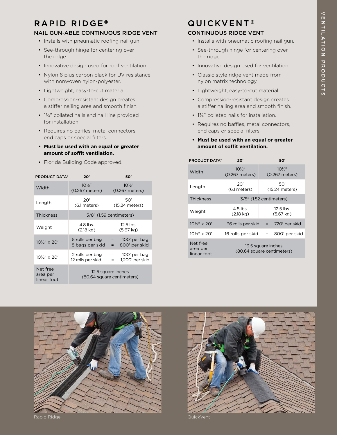# RAPID RIDGE®

### NAIL GUN-ABLE CONTINUOUS RIDGE VENT

- Installs with pneumatic roofing nail gun.
- See-through hinge for centering over the ridge.
- Innovative design used for roof ventilation.
- Nylon 6 plus carbon black for UV resistance with nonwoven nylon-polyester.
- Lightweight, easy-to-cut material.
- Compression-resistant design creates a stiffer nailing area and smooth finish.
- 13/4" collated nails and nail line provided for installation.
- Requires no baffles, metal connectors, end caps or special filters.
- **• Must be used with an equal or greater amount of soffit ventilation.**
- Florida Building Code approved.

| <b>PRODUCT DATA*</b>                   | 20'                                              | 50'                                         |  |
|----------------------------------------|--------------------------------------------------|---------------------------------------------|--|
| Width                                  | $10\frac{1}{2}$<br>(0.267 meters)                | $10\frac{1}{2}$<br>(0.267 meters)           |  |
| Length                                 | 20'<br>$(6.1$ meters)                            | 50'<br>(15.24 meters)                       |  |
| <b>Thickness</b>                       | 5/8" (1.59 centimeters)                          |                                             |  |
| Weight                                 | $4.8$ lbs.<br>$(2.18 \text{ kg})$                | $12.5$ lbs.<br>$(5.67 \text{ kg})$          |  |
| 10 <sup>1</sup> / <sub>2</sub> " x 20' | 5 rolls per bag<br>8 bags per skid               | 100' per bag<br>$=$<br>800' per skid<br>$=$ |  |
| $10\frac{1}{2}$ " x 20'                | 2 rolls per bag<br>12 rolls per skid             | 100' per bag<br>$=$<br>1,200' per skid<br>Ξ |  |
| Net free<br>area per<br>linear foot    | 12.5 square inches<br>(80.64 square centimeters) |                                             |  |

# **QUICKVENT®** CONTINUOUS RIDGE VENT

- Installs with pneumatic roofing nail gun.
- See-through hinge for centering over the ridge.
- Innovative design used for ventilation.
- Classic style ridge vent made from nylon matrix technology.
- Lightweight, easy-to-cut material.
- Compression-resistant design creates a stiffer nailing area and smooth finish.
- 13/4" collated nails for installation.
- Requires no baffles, metal connectors, end caps or special filters.
- **• Must be used with an equal or greater amount of soffit ventilation.**

| <b>PRODUCT DATA*</b>                | 20'                                              | 50'                                |
|-------------------------------------|--------------------------------------------------|------------------------------------|
| Width                               | $10\frac{1}{2}$<br>(0.267 meters)                | $10\frac{1}{2}$<br>(0.267 meters)  |
| Length                              | 20'<br>$(6.1$ meters)                            | 50'<br>(15.24 meters)              |
| <b>Thickness</b>                    | 3/5" (1.52 centimeters)                          |                                    |
| Weight                              | 4.8 lbs.<br>$(2.18 \text{ kg})$                  | $12.5$ lbs.<br>$(5.67 \text{ kg})$ |
| $10\frac{1}{2}$ " x 20'             | $36$ rolls per skid =                            | 720' per skid                      |
| $10\frac{1}{2}$ " x 20'             | 16 rolls per skid                                | 800' per skid<br>Ξ                 |
| Net free<br>area per<br>linear foot | 13.5 square inches<br>(80.64 square centimeters) |                                    |